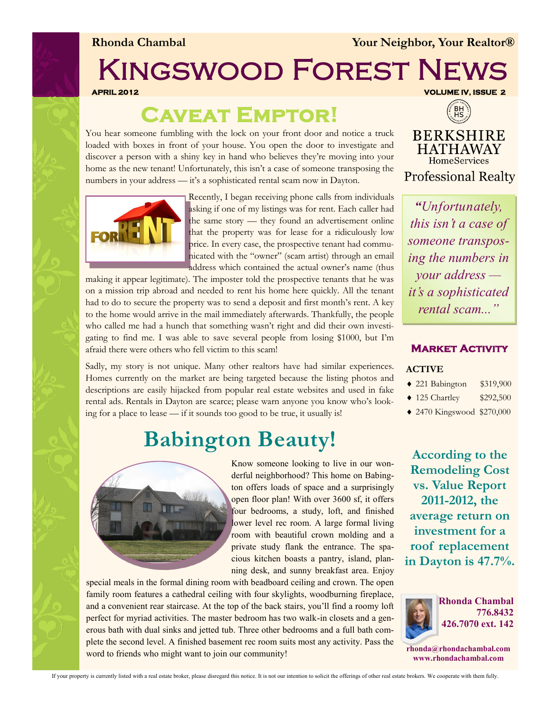**Rhonda Chambal** *Your Neighbor, Your Realtor®* 

# Kingswood Forest News

**APRIL 2012 VOLUME IV, ISSUE 2** 

### **Caveat Emptor!**

You hear someone fumbling with the lock on your front door and notice a truck loaded with boxes in front of your house. You open the door to investigate and discover a person with a shiny key in hand who believes they're moving into your home as the new tenant! Unfortunately, this isn't a case of someone transposing the numbers in your address — it's a sophisticated rental scam now in Dayton.



Recently, I began receiving phone calls from individuals asking if one of my listings was for rent. Each caller had the same story — they found an advertisement online that the property was for lease for a ridiculously low price. In every case, the prospective tenant had communicated with the "owner" (scam artist) through an email address which contained the actual owner's name (thus

making it appear legitimate). The imposter told the prospective tenants that he was on a mission trip abroad and needed to rent his home here quickly. All the tenant had to do to secure the property was to send a deposit and first month's rent. A key to the home would arrive in the mail immediately afterwards. Thankfully, the people who called me had a hunch that something wasn't right and did their own investigating to find me. I was able to save several people from losing \$1000, but I'm afraid there were others who fell victim to this scam!

Sadly, my story is not unique. Many other realtors have had similar experiences. Homes currently on the market are being targeted because the listing photos and descriptions are easily hijacked from popular real estate websites and used in fake rental ads. Rentals in Dayton are scarce; please warn anyone you know who's looking for a place to lease — if it sounds too good to be true, it usually is!

## **Babington Beauty!**



Know someone looking to live in our wonderful neighborhood? This home on Babington offers loads of space and a surprisingly open floor plan! With over 3600 sf, it offers four bedrooms, a study, loft, and finished lower level rec room. A large formal living room with beautiful crown molding and a private study flank the entrance. The spacious kitchen boasts a pantry, island, planning desk, and sunny breakfast area. Enjoy

special meals in the formal dining room with beadboard ceiling and crown. The open family room features a cathedral ceiling with four skylights, woodburning fireplace, and a convenient rear staircase. At the top of the back stairs, you'll find a roomy loft perfect for myriad activities. The master bedroom has two walk-in closets and a generous bath with dual sinks and jetted tub. Three other bedrooms and a full bath complete the second level. A finished basement rec room suits most any activity. Pass the word to friends who might want to join our community!



**BERKSHIRE HATHAWAY HomeServices Professional Realty** 

*"Unfortunately, this isn't a case of someone transposing the numbers in your address it's a sophisticated rental scam..."*

### **Market Activity**

#### **ACTIVE**

- 221 Babington \$319,900
- 125 Chartley \$292,500
- 2470 Kingswood \$270,000

**According to the Remodeling Cost vs. Value Report 2011-2012, the average return on investment for a roof replacement in Dayton is 47.7%.** 



**rhonda@rhondachambal.com www.rhondachambal.com**